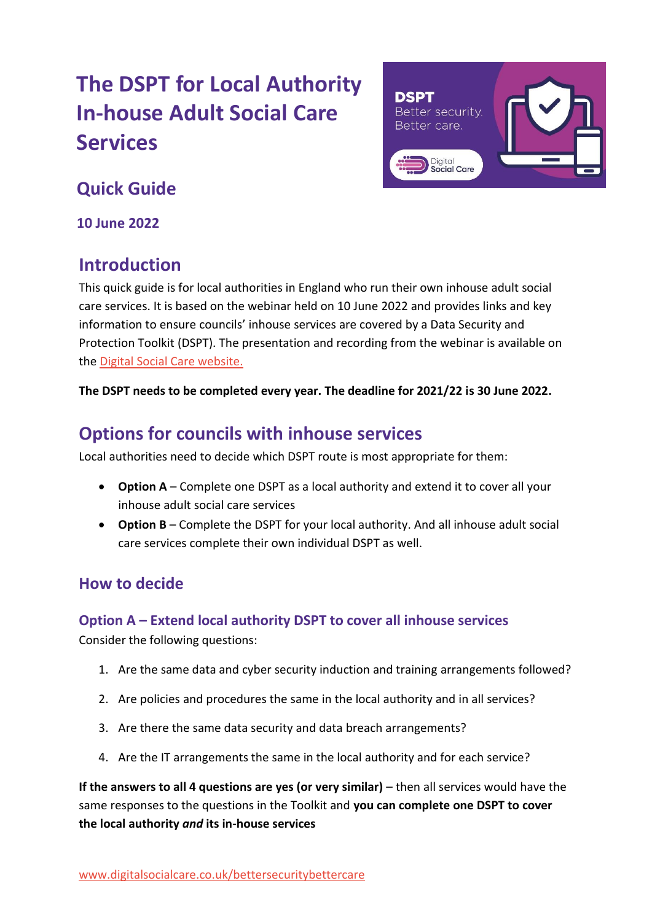# **The DSPT for Local Authority In-house Adult Social Care Services**



## **Quick Guide**

**10 June 2022**

## **Introduction**

This quick guide is for local authorities in England who run their own inhouse adult social care services. It is based on the webinar held on 10 June 2022 and provides links and key information to ensure councils' inhouse services are covered by a Data Security and Protection Toolkit (DSPT). The presentation and recording from the webinar is available on the [Digital Social Care website.](https://www.digitalsocialcare.co.uk/data-security-protecting-my-information/better-security-better-care/presentations-and-webinar-recordings/?utm_source=DSPTTeamJuneDeadline3&utm_medium=email&utm_campaign=deadline_June22_DSPT3)

**The DSPT needs to be completed every year. The deadline for 2021/22 is 30 June 2022.**

## **Options for councils with inhouse services**

Local authorities need to decide which DSPT route is most appropriate for them:

- **Option A** Complete one DSPT as a local authority and extend it to cover all your inhouse adult social care services
- **Option B** Complete the DSPT for your local authority. And all inhouse adult social care services complete their own individual DSPT as well.

## **How to decide**

## **Option A – Extend local authority DSPT to cover all inhouse services**

Consider the following questions:

- 1. Are the same data and cyber security induction and training arrangements followed?
- 2. Are policies and procedures the same in the local authority and in all services?
- 3. Are there the same data security and data breach arrangements?
- 4. Are the IT arrangements the same in the local authority and for each service?

**If the answers to all 4 questions are yes (or very similar)** – then all services would have the same responses to the questions in the Toolkit and **you can complete one DSPT to cover the local authority** *and* **its in-house services**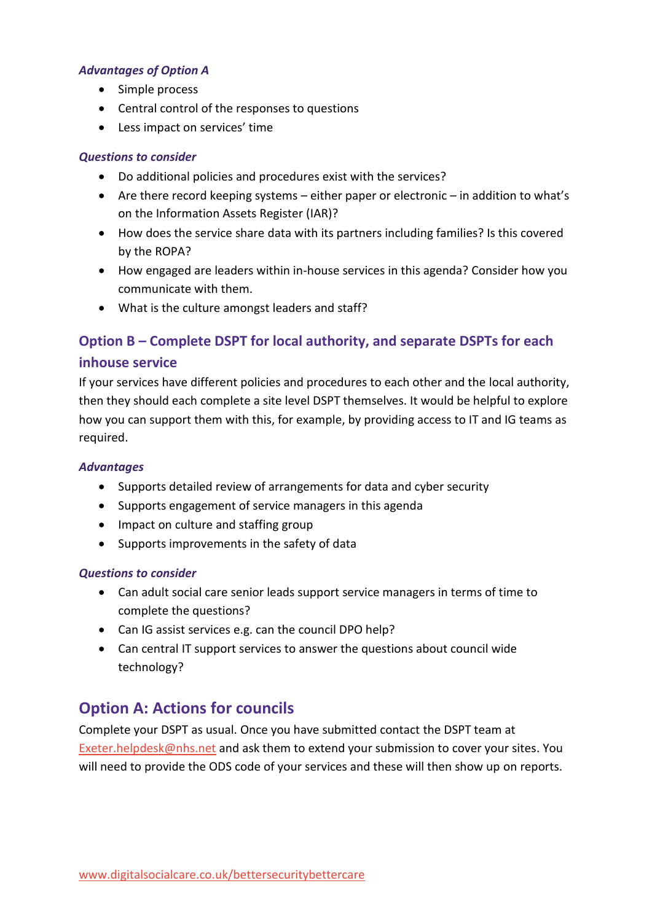#### *Advantages of Option A*

- Simple process
- Central control of the responses to questions
- Less impact on services' time

#### *Questions to consider*

- Do additional policies and procedures exist with the services?
- Are there record keeping systems either paper or electronic in addition to what's on the Information Assets Register (IAR)?
- How does the service share data with its partners including families? Is this covered by the ROPA?
- How engaged are leaders within in-house services in this agenda? Consider how you communicate with them.
- What is the culture amongst leaders and staff?

## **Option B – Complete DSPT for local authority, and separate DSPTs for each inhouse service**

If your services have different policies and procedures to each other and the local authority, then they should each complete a site level DSPT themselves. It would be helpful to explore how you can support them with this, for example, by providing access to IT and IG teams as required.

#### *Advantages*

- Supports detailed review of arrangements for data and cyber security
- Supports engagement of service managers in this agenda
- Impact on culture and staffing group
- Supports improvements in the safety of data

#### *Questions to consider*

- Can adult social care senior leads support service managers in terms of time to complete the questions?
- Can IG assist services e.g. can the council DPO help?
- Can central IT support services to answer the questions about council wide technology?

## **Option A: Actions for councils**

Complete your DSPT as usual. Once you have submitted contact the DSPT team at [Exeter.helpdesk@nhs.net](mailto:Exeter.helpdesk@nhs.net) and ask them to extend your submission to cover your sites. You will need to provide the ODS code of your services and these will then show up on reports.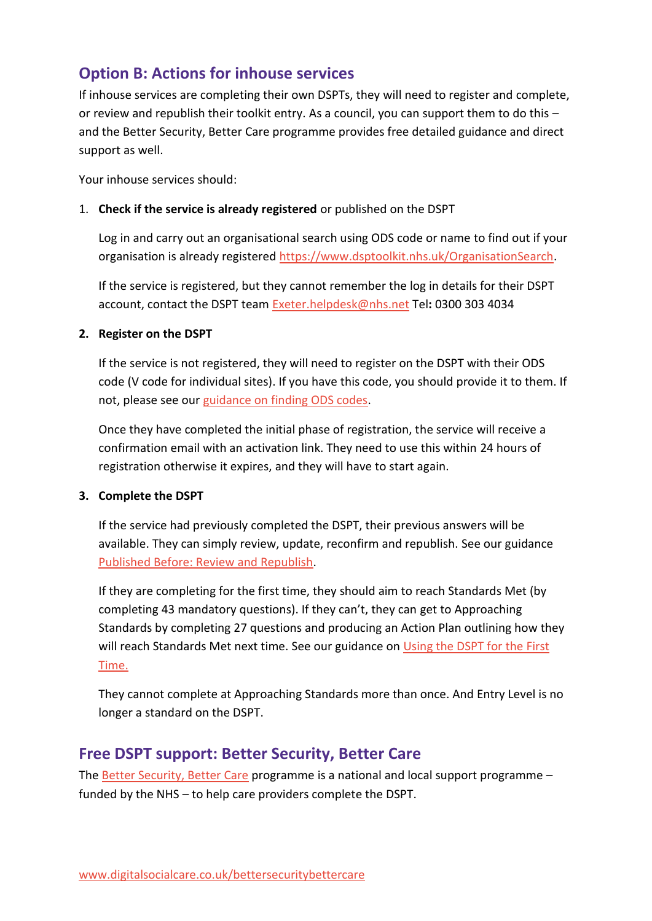## **Option B: Actions for inhouse services**

If inhouse services are completing their own DSPTs, they will need to register and complete, or review and republish their toolkit entry. As a council, you can support them to do this – and the Better Security, Better Care programme provides free detailed guidance and direct support as well.

Your inhouse services should:

#### 1. **Check if the service is already registered** or published on the DSPT

Log in and carry out an organisational search using ODS code or name to find out if your organisation is already registered [https://www.dsptoolkit.nhs.uk/OrganisationSearch.](https://www.dsptoolkit.nhs.uk/OrganisationSearch)

If the service is registered, but they cannot remember the log in details for their DSPT account, contact the DSPT team [Exeter.helpdesk@nhs.net](mailto:Exeter.helpdesk@nhs.net) Tel**:** 0300 303 4034

#### **2. Register on the DSPT**

If the service is not registered, they will need to register on the DSPT with their ODS code (V code for individual sites). If you have this code, you should provide it to them. If not, please see our [guidance on finding ODS codes.](https://www.digitalsocialcare.co.uk/latest-guidance/how-to-find-your-ods-code/)

Once they have completed the initial phase of registration, the service will receive a confirmation email with an activation link. They need to use this within 24 hours of registration otherwise it expires, and they will have to start again.

#### **3. Complete the DSPT**

If the service had previously completed the DSPT, their previous answers will be available. They can simply review, update, reconfirm and republish. See our guidance [Published Before: Review and Republish.](https://www.digitalsocialcare.co.uk/data-security-protecting-my-information/data-security-and-protection-toolkit/published-before-review-and-republish-your-dspt/)

If they are completing for the first time, they should aim to reach Standards Met (by completing 43 mandatory questions). If they can't, they can get to Approaching Standards by completing 27 questions and producing an Action Plan outlining how they will reach Standards Met next time. See our guidance on Using the DSPT for the First [Time.](https://www.digitalsocialcare.co.uk/data-security-protecting-my-information/data-security-and-protection-toolkit/registering-for-the-data-security-and-protection-toolkit/)

They cannot complete at Approaching Standards more than once. And Entry Level is no longer a standard on the DSPT.

### **Free DSPT support: Better Security, Better Care**

The [Better Security, Better Care](https://www.digitalsocialcare.co.uk/data-security-protecting-my-information/better-security-better-care/presentations-and-webinar-recordings/?utm_source=DSPTTeamJuneDeadline3&utm_medium=email&utm_campaign=deadline_June22_DSPT3) programme is a national and local support programme – funded by the NHS – to help care providers complete the DSPT.